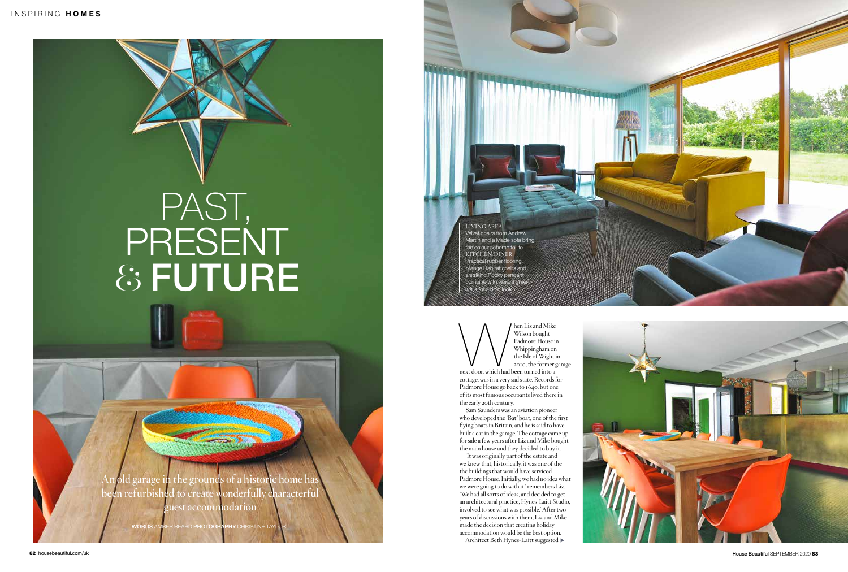**An old garage in the grounds of a historic home has been refurbished to create wonderfully characterful guest accommodation**

WORDS AMBER BEARD PHOTOGRAPHY CHRISTINE TA

Men Liz and Mike<br>Padmore House in<br>Padmore House in<br>Whippingham on<br>the Isle of Wight if<br>and been turned into a<br>mext door, which had been turned into a Wilson bought Padmore House in Whippingham on the Isle of Wight in 2010, the former garage

## PAST, PRESENT & FUTURE

next door, which had been turned into a cottage, was in a very sad state. Records for Padmore House go back to 1640, but one of its most famous occupants lived there in the early 20th century.

Sam Saunders was an aviation pioneer who developed the 'Bat' boat, one of the first flying boats in Britain, and he is said to have built a car in the garage. The cottage came up for sale a few years after Liz and Mike bought the main house and they decided to buy it.

'It was originally part of the estate and we knew that, historically, it was one of the the buildings that would have serviced Padmore House. Initially, we had no idea what we were going to do with it,' remembers Liz. 'We had all sorts of ideas, and decided to get an architectural practice, Hynes-Laitt Studio, involved to see what was possible.' After two years of discussions with them, Liz and Mike made the decision that creating holiday accommodation would be the best option.

Architect Beth Hynes-Laitt suggested





LIVING AREA Velvet chairs from Andrew Martin and a Made sofa bring the colour scheme to life KITCHEN/DINER Practical rubber flooring, orange Habitat chairs and a striking Pooky pendant combine with vibrant green walls for a bold look